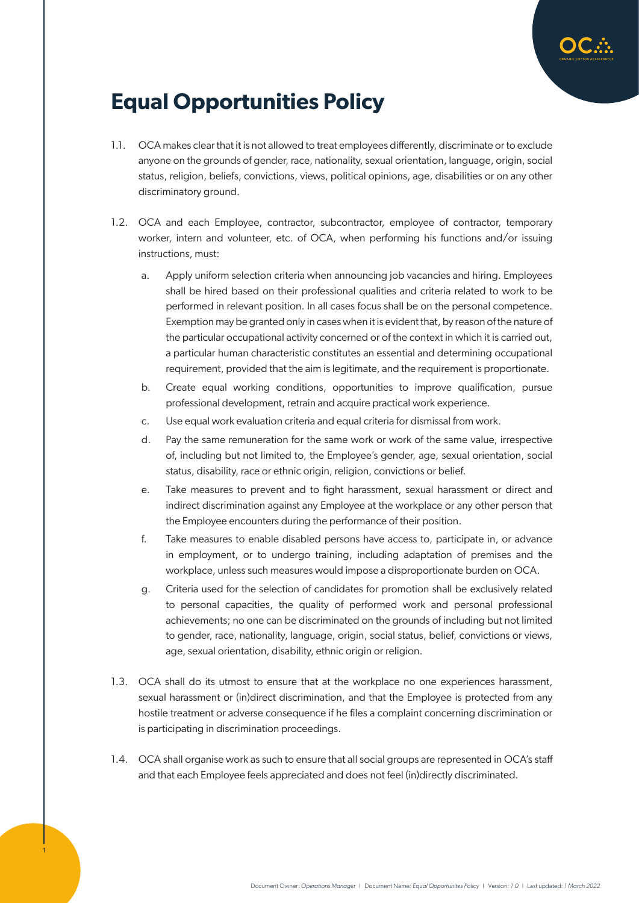

## **Equal Opportunities Policy**

- 1.1. OCA makes clear that it is not allowed to treat employees differently, discriminate or to exclude anyone on the grounds of gender, race, nationality, sexual orientation, language, origin, social status, religion, beliefs, convictions, views, political opinions, age, disabilities or on any other discriminatory ground.
- 1.2. OCA and each Employee, contractor, subcontractor, employee of contractor, temporary worker, intern and volunteer, etc. of OCA, when performing his functions and/or issuing instructions, must:
	- a. Apply uniform selection criteria when announcing job vacancies and hiring. Employees shall be hired based on their professional qualities and criteria related to work to be performed in relevant position. In all cases focus shall be on the personal competence. Exemption may be granted only in cases when it is evident that, by reason of the nature of the particular occupational activity concerned or of the context in which it is carried out, a particular human characteristic constitutes an essential and determining occupational requirement, provided that the aim is legitimate, and the requirement is proportionate.
	- b. Create equal working conditions, opportunities to improve qualification, pursue professional development, retrain and acquire practical work experience.
	- c. Use equal work evaluation criteria and equal criteria for dismissal from work.
	- d. Pay the same remuneration for the same work or work of the same value, irrespective of, including but not limited to, the Employee's gender, age, sexual orientation, social status, disability, race or ethnic origin, religion, convictions or belief.
	- e. Take measures to prevent and to fight harassment, sexual harassment or direct and indirect discrimination against any Employee at the workplace or any other person that the Employee encounters during the performance of their position.
	- f. Take measures to enable disabled persons have access to, participate in, or advance in employment, or to undergo training, including adaptation of premises and the workplace, unless such measures would impose a disproportionate burden on OCA.
	- g. Criteria used for the selection of candidates for promotion shall be exclusively related to personal capacities, the quality of performed work and personal professional achievements; no one can be discriminated on the grounds of including but not limited to gender, race, nationality, language, origin, social status, belief, convictions or views, age, sexual orientation, disability, ethnic origin or religion.
- 1.3. OCA shall do its utmost to ensure that at the workplace no one experiences harassment, sexual harassment or (in)direct discrimination, and that the Employee is protected from any hostile treatment or adverse consequence if he files a complaint concerning discrimination or is participating in discrimination proceedings.
- 1.4. OCA shall organise work as such to ensure that all social groups are represented in OCA's staff and that each Employee feels appreciated and does not feel (in)directly discriminated.

1